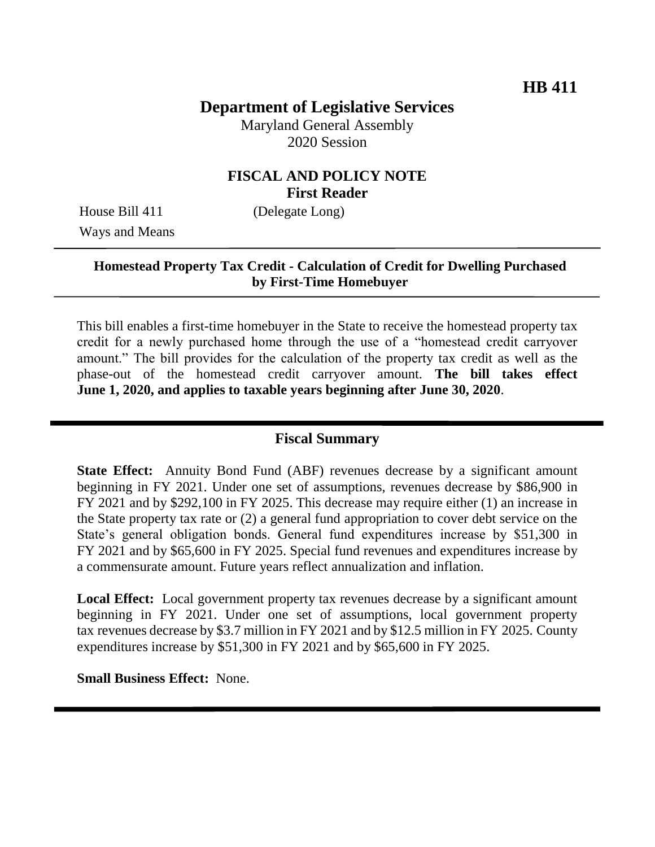# **Department of Legislative Services**

Maryland General Assembly 2020 Session

### **FISCAL AND POLICY NOTE First Reader**

Ways and Means

House Bill 411 (Delegate Long)

### **Homestead Property Tax Credit - Calculation of Credit for Dwelling Purchased by First-Time Homebuyer**

This bill enables a first-time homebuyer in the State to receive the homestead property tax credit for a newly purchased home through the use of a "homestead credit carryover amount." The bill provides for the calculation of the property tax credit as well as the phase-out of the homestead credit carryover amount. **The bill takes effect June 1, 2020, and applies to taxable years beginning after June 30, 2020**.

### **Fiscal Summary**

**State Effect:** Annuity Bond Fund (ABF) revenues decrease by a significant amount beginning in FY 2021. Under one set of assumptions, revenues decrease by \$86,900 in FY 2021 and by \$292,100 in FY 2025. This decrease may require either (1) an increase in the State property tax rate or (2) a general fund appropriation to cover debt service on the State's general obligation bonds. General fund expenditures increase by \$51,300 in FY 2021 and by \$65,600 in FY 2025. Special fund revenues and expenditures increase by a commensurate amount. Future years reflect annualization and inflation.

**Local Effect:** Local government property tax revenues decrease by a significant amount beginning in FY 2021. Under one set of assumptions, local government property tax revenues decrease by \$3.7 million in FY 2021 and by \$12.5 million in FY 2025. County expenditures increase by \$51,300 in FY 2021 and by \$65,600 in FY 2025.

**Small Business Effect:** None.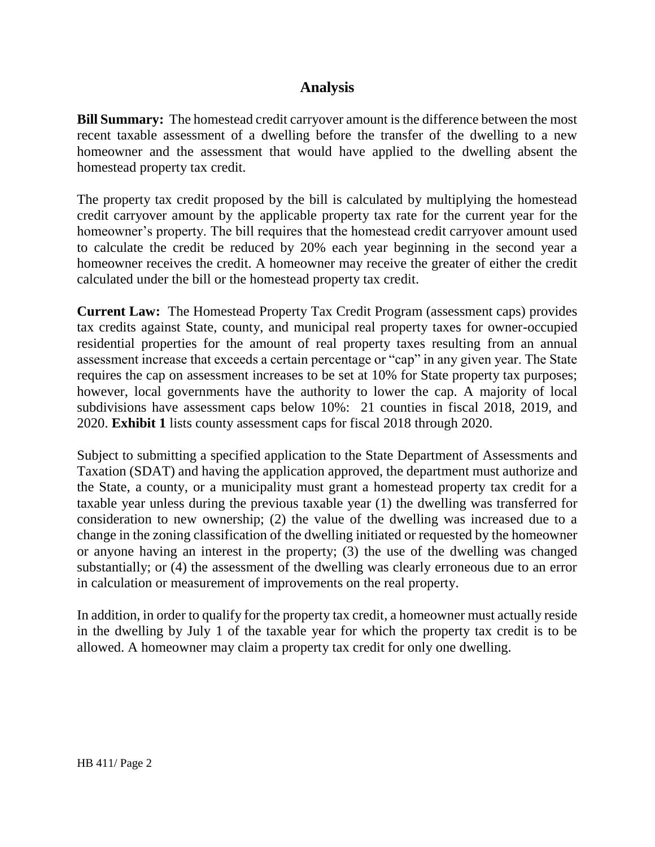### **Analysis**

**Bill Summary:** The homestead credit carryover amount is the difference between the most recent taxable assessment of a dwelling before the transfer of the dwelling to a new homeowner and the assessment that would have applied to the dwelling absent the homestead property tax credit.

The property tax credit proposed by the bill is calculated by multiplying the homestead credit carryover amount by the applicable property tax rate for the current year for the homeowner's property. The bill requires that the homestead credit carryover amount used to calculate the credit be reduced by 20% each year beginning in the second year a homeowner receives the credit. A homeowner may receive the greater of either the credit calculated under the bill or the homestead property tax credit.

**Current Law:** The Homestead Property Tax Credit Program (assessment caps) provides tax credits against State, county, and municipal real property taxes for owner-occupied residential properties for the amount of real property taxes resulting from an annual assessment increase that exceeds a certain percentage or "cap" in any given year. The State requires the cap on assessment increases to be set at 10% for State property tax purposes; however, local governments have the authority to lower the cap. A majority of local subdivisions have assessment caps below 10%: 21 counties in fiscal 2018, 2019, and 2020. **Exhibit 1** lists county assessment caps for fiscal 2018 through 2020.

Subject to submitting a specified application to the State Department of Assessments and Taxation (SDAT) and having the application approved, the department must authorize and the State, a county, or a municipality must grant a homestead property tax credit for a taxable year unless during the previous taxable year (1) the dwelling was transferred for consideration to new ownership; (2) the value of the dwelling was increased due to a change in the zoning classification of the dwelling initiated or requested by the homeowner or anyone having an interest in the property; (3) the use of the dwelling was changed substantially; or (4) the assessment of the dwelling was clearly erroneous due to an error in calculation or measurement of improvements on the real property.

In addition, in order to qualify for the property tax credit, a homeowner must actually reside in the dwelling by July 1 of the taxable year for which the property tax credit is to be allowed. A homeowner may claim a property tax credit for only one dwelling.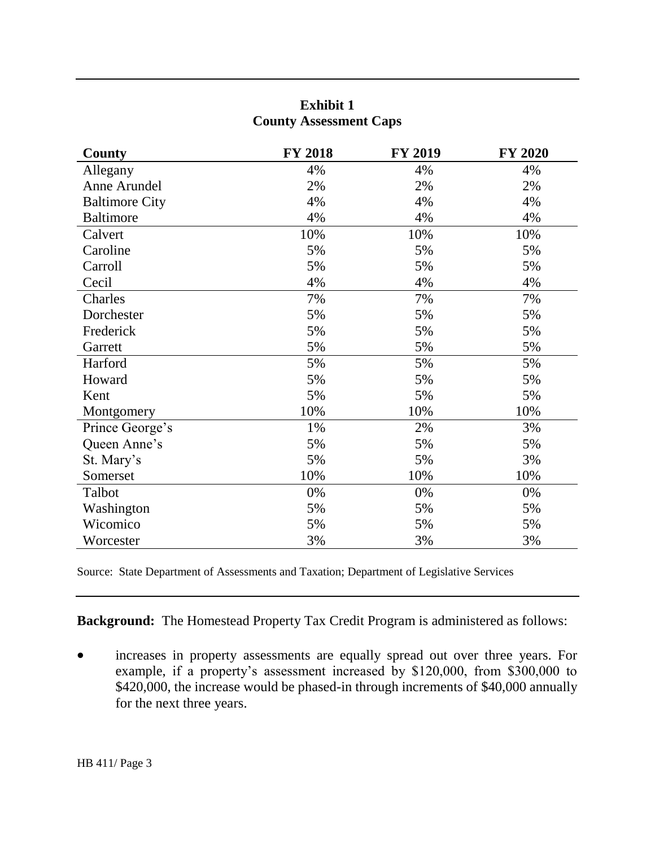| <b>Exhibit 1</b>              |  |
|-------------------------------|--|
| <b>County Assessment Caps</b> |  |

| County                | <b>FY 2018</b> | <b>FY 2019</b> | <b>FY 2020</b> |
|-----------------------|----------------|----------------|----------------|
| Allegany              | 4%             | 4%             | 4%             |
| Anne Arundel          | 2%             | 2%             | 2%             |
| <b>Baltimore City</b> | 4%             | 4%             | 4%             |
| <b>Baltimore</b>      | 4%             | 4%             | 4%             |
| Calvert               | 10%            | 10%            | 10%            |
| Caroline              | 5%             | 5%             | 5%             |
| Carroll               | 5%             | 5%             | 5%             |
| Cecil                 | 4%             | 4%             | 4%             |
| Charles               | 7%             | 7%             | 7%             |
| Dorchester            | 5%             | 5%             | 5%             |
| Frederick             | 5%             | 5%             | 5%             |
| Garrett               | 5%             | 5%             | 5%             |
| Harford               | 5%             | 5%             | 5%             |
| Howard                | 5%             | 5%             | 5%             |
| Kent                  | 5%             | 5%             | 5%             |
| Montgomery            | 10%            | 10%            | 10%            |
| Prince George's       | 1%             | 2%             | 3%             |
| Queen Anne's          | 5%             | 5%             | 5%             |
| St. Mary's            | 5%             | 5%             | 3%             |
| Somerset              | 10%            | 10%            | 10%            |
| Talbot                | 0%             | 0%             | 0%             |
| Washington            | 5%             | 5%             | 5%             |
| Wicomico              | 5%             | 5%             | 5%             |
| Worcester             | 3%             | 3%             | 3%             |

Source: State Department of Assessments and Taxation; Department of Legislative Services

**Background:** The Homestead Property Tax Credit Program is administered as follows:

 increases in property assessments are equally spread out over three years. For example, if a property's assessment increased by \$120,000, from \$300,000 to \$420,000, the increase would be phased-in through increments of \$40,000 annually for the next three years.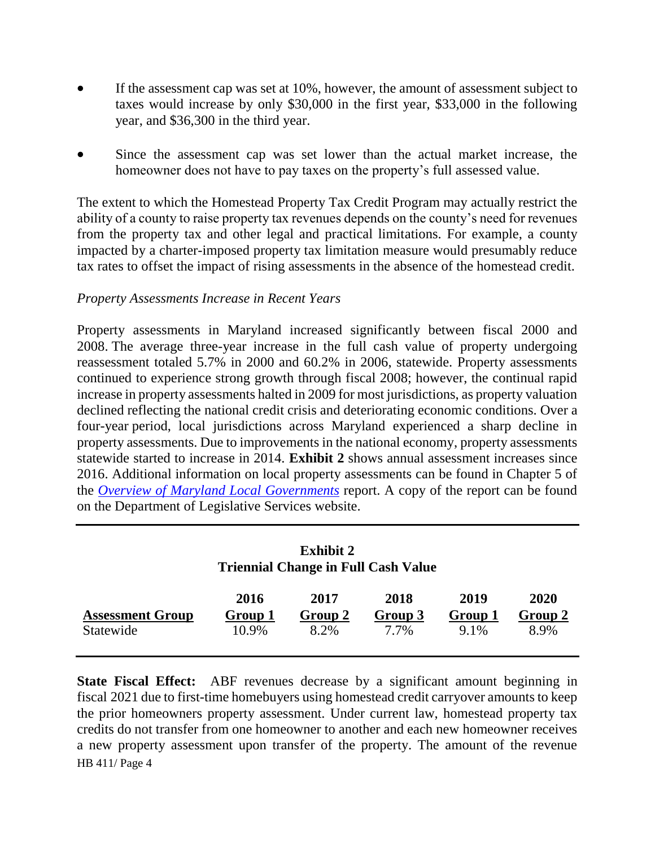- If the assessment cap was set at 10%, however, the amount of assessment subject to taxes would increase by only \$30,000 in the first year, \$33,000 in the following year, and \$36,300 in the third year.
- Since the assessment cap was set lower than the actual market increase, the homeowner does not have to pay taxes on the property's full assessed value.

The extent to which the Homestead Property Tax Credit Program may actually restrict the ability of a county to raise property tax revenues depends on the county's need for revenues from the property tax and other legal and practical limitations. For example, a county impacted by a charter-imposed property tax limitation measure would presumably reduce tax rates to offset the impact of rising assessments in the absence of the homestead credit.

#### *Property Assessments Increase in Recent Years*

Property assessments in Maryland increased significantly between fiscal 2000 and 2008. The average three-year increase in the full cash value of property undergoing reassessment totaled 5.7% in 2000 and 60.2% in 2006, statewide. Property assessments continued to experience strong growth through fiscal 2008; however, the continual rapid increase in property assessments halted in 2009 for most jurisdictions, as property valuation declined reflecting the national credit crisis and deteriorating economic conditions. Over a four-year period, local jurisdictions across Maryland experienced a sharp decline in property assessments. Due to improvements in the national economy, property assessments statewide started to increase in 2014. **Exhibit 2** shows annual assessment increases since 2016. Additional information on local property assessments can be found in Chapter 5 of the *[Overview of Maryland Local Governments](http://dls.maryland.gov/pubs/prod/InterGovMatters/LocFinTaxRte/Overview-of-Maryland-Local-Governments-2019.pdf)* report. A copy of the report can be found on the Department of Legislative Services website.

| <b>Exhibit 2</b><br><b>Triennial Change in Full Cash Value</b> |                          |                         |                         |                         |                         |
|----------------------------------------------------------------|--------------------------|-------------------------|-------------------------|-------------------------|-------------------------|
| <b>Assessment Group</b><br>Statewide                           | 2016<br>Group 1<br>10.9% | 2017<br>Group 2<br>8.2% | 2018<br>Group 3<br>7.7% | 2019<br>Group 1<br>9.1% | 2020<br>Group 2<br>8.9% |

HB 411/ Page 4 **State Fiscal Effect:** ABF revenues decrease by a significant amount beginning in fiscal 2021 due to first-time homebuyers using homestead credit carryover amounts to keep the prior homeowners property assessment. Under current law, homestead property tax credits do not transfer from one homeowner to another and each new homeowner receives a new property assessment upon transfer of the property. The amount of the revenue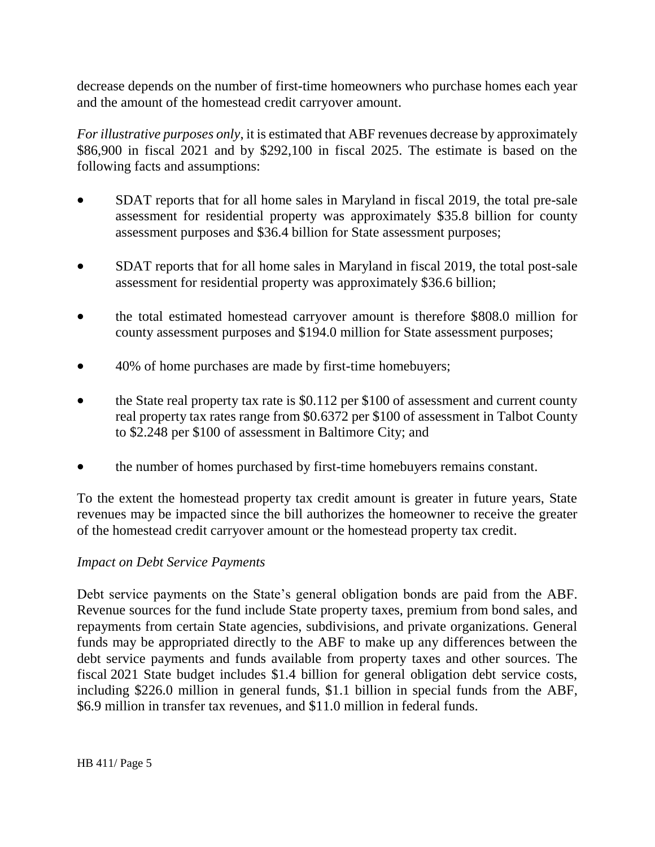decrease depends on the number of first-time homeowners who purchase homes each year and the amount of the homestead credit carryover amount.

*For illustrative purposes only*, it is estimated that ABF revenues decrease by approximately \$86,900 in fiscal 2021 and by \$292,100 in fiscal 2025. The estimate is based on the following facts and assumptions:

- SDAT reports that for all home sales in Maryland in fiscal 2019, the total pre-sale assessment for residential property was approximately \$35.8 billion for county assessment purposes and \$36.4 billion for State assessment purposes;
- SDAT reports that for all home sales in Maryland in fiscal 2019, the total post-sale assessment for residential property was approximately \$36.6 billion;
- the total estimated homestead carryover amount is therefore \$808.0 million for county assessment purposes and \$194.0 million for State assessment purposes;
- 40% of home purchases are made by first-time homebuyers;
- the State real property tax rate is \$0.112 per \$100 of assessment and current county real property tax rates range from \$0.6372 per \$100 of assessment in Talbot County to \$2.248 per \$100 of assessment in Baltimore City; and
- the number of homes purchased by first-time homebuyers remains constant.

To the extent the homestead property tax credit amount is greater in future years, State revenues may be impacted since the bill authorizes the homeowner to receive the greater of the homestead credit carryover amount or the homestead property tax credit.

#### *Impact on Debt Service Payments*

Debt service payments on the State's general obligation bonds are paid from the ABF. Revenue sources for the fund include State property taxes, premium from bond sales, and repayments from certain State agencies, subdivisions, and private organizations. General funds may be appropriated directly to the ABF to make up any differences between the debt service payments and funds available from property taxes and other sources. The fiscal 2021 State budget includes \$1.4 billion for general obligation debt service costs, including \$226.0 million in general funds, \$1.1 billion in special funds from the ABF, \$6.9 million in transfer tax revenues, and \$11.0 million in federal funds.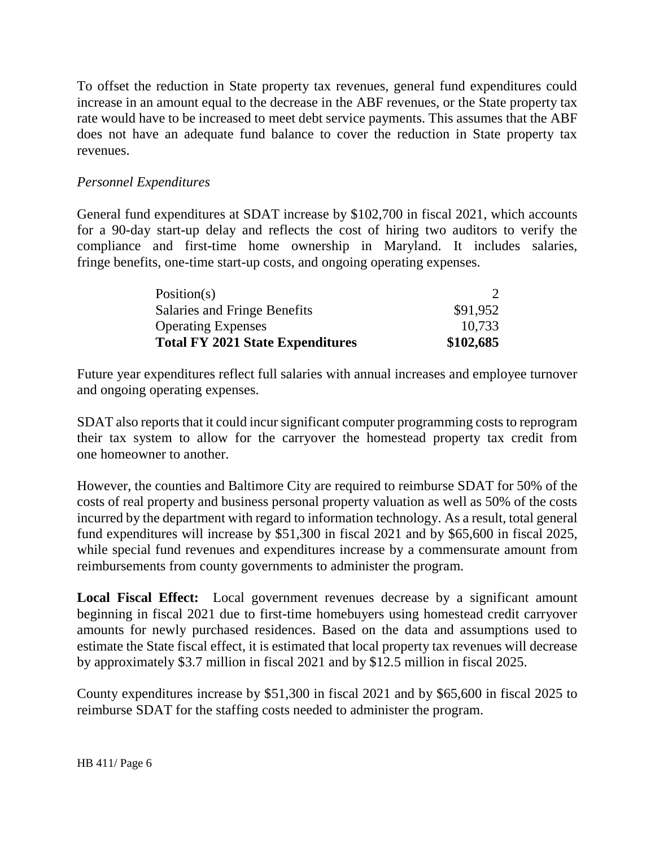To offset the reduction in State property tax revenues, general fund expenditures could increase in an amount equal to the decrease in the ABF revenues, or the State property tax rate would have to be increased to meet debt service payments. This assumes that the ABF does not have an adequate fund balance to cover the reduction in State property tax revenues.

### *Personnel Expenditures*

General fund expenditures at SDAT increase by \$102,700 in fiscal 2021, which accounts for a 90-day start-up delay and reflects the cost of hiring two auditors to verify the compliance and first-time home ownership in Maryland. It includes salaries, fringe benefits, one-time start-up costs, and ongoing operating expenses.

| Position(s)                             |           |
|-----------------------------------------|-----------|
| Salaries and Fringe Benefits            | \$91,952  |
| <b>Operating Expenses</b>               | 10,733    |
| <b>Total FY 2021 State Expenditures</b> | \$102,685 |

Future year expenditures reflect full salaries with annual increases and employee turnover and ongoing operating expenses.

SDAT also reports that it could incur significant computer programming costs to reprogram their tax system to allow for the carryover the homestead property tax credit from one homeowner to another.

However, the counties and Baltimore City are required to reimburse SDAT for 50% of the costs of real property and business personal property valuation as well as 50% of the costs incurred by the department with regard to information technology. As a result, total general fund expenditures will increase by \$51,300 in fiscal 2021 and by \$65,600 in fiscal 2025, while special fund revenues and expenditures increase by a commensurate amount from reimbursements from county governments to administer the program.

**Local Fiscal Effect:** Local government revenues decrease by a significant amount beginning in fiscal 2021 due to first-time homebuyers using homestead credit carryover amounts for newly purchased residences. Based on the data and assumptions used to estimate the State fiscal effect, it is estimated that local property tax revenues will decrease by approximately \$3.7 million in fiscal 2021 and by \$12.5 million in fiscal 2025.

County expenditures increase by \$51,300 in fiscal 2021 and by \$65,600 in fiscal 2025 to reimburse SDAT for the staffing costs needed to administer the program.